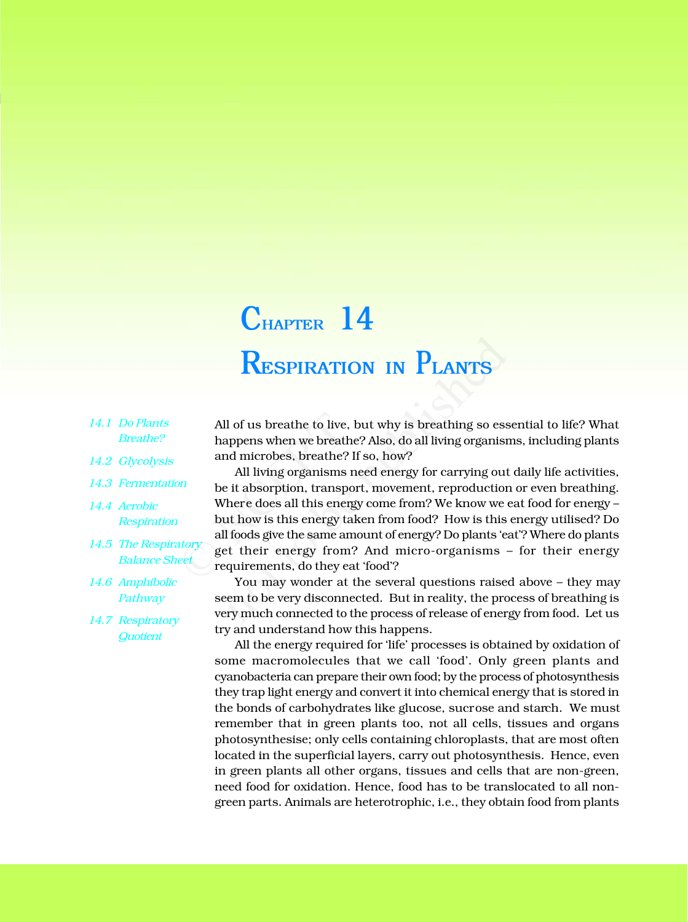## **RESPIRATION IN PLANTS CHAPTER 14**

- *14.1 Do Plants Breathe?*
- *14.2 Glycolysis*
- *14.3 Fermentation*
- *14.4 Aerobic Respiration*
- *14.5 The Respiratory Balance Sheet*
- *14.6 Amphibolic Pathway*
- *14.7 Respiratory Quotient*

All of us breathe to live, but why is breathing so essential to life? What happens when we breathe? Also, do all living organisms, including plants and microbes, breathe? If so, how?

All living organisms need energy for carrying out daily life activities, be it absorption, transport, movement, reproduction or even breathing. Where does all this energy come from? We know we eat food for energy – but how is this energy taken from food? How is this energy utilised? Do all foods give the same amount of energy? Do plants 'eat'? Where do plants get their energy from? And micro-organisms – for their energy requirements, do they eat 'food'? All of us breathe to live, bu<br>happens when we breathe?<br>and microbes, breathe? If s<br>all living organisms nee<br>be it absorption, transport,<br>Where does all this energy to<br>but how is this energy takes<br>all foods give the same am **RESPIRATION IN PLANTS**<br>
1 of us breathe to live, but why is breathing so ess<br>
appens when we breathe? Also, do all living organism<br>
ad microbes, breathe? If so, how?<br>
All living organisms need energy for carrying out<br>
it

You may wonder at the several questions raised above – they may seem to be very disconnected. But in reality, the process of breathing is very much connected to the process of release of energy from food. Let us try and understand how this happens.

All the energy required for 'life' processes is obtained by oxidation of some macromolecules that we call 'food'. Only green plants and cyanobacteria can prepare their own food; by the process of photosynthesis they trap light energy and convert it into chemical energy that is stored in the bonds of carbohydrates like glucose, sucrose and starch. We must remember that in green plants too, not all cells, tissues and organs photosynthesise; only cells containing chloroplasts, that are most often located in the superficial layers, carry out photosynthesis. Hence, even in green plants all other organs, tissues and cells that are non-green, need food for oxidation. Hence, food has to be translocated to all nongreen parts. Animals are heterotrophic, i.e., they obtain food from plants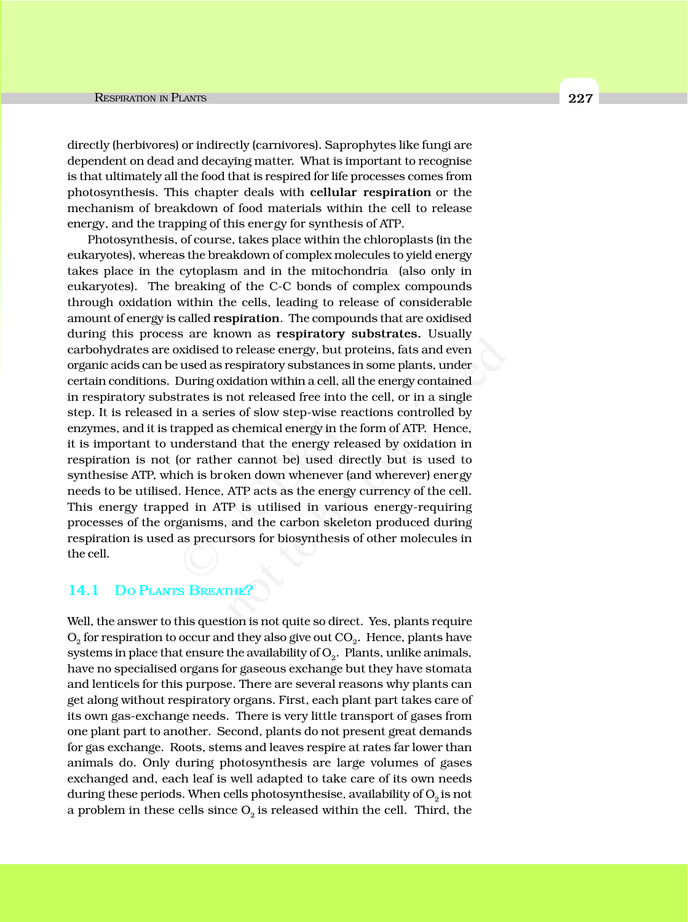directly (herbivores) or indirectly (carnivores). Saprophytes like fungi are dependent on dead and decaying matter. What is important to recognise is that ultimately all the food that is respired for life processes comes from photosynthesis. This chapter deals with **cellular respiration** or the mechanism of breakdown of food materials within the cell to release energy, and the trapping of this energy for synthesis of ATP.

Photosynthesis, of course, takes place within the chloroplasts (in the eukaryotes), whereas the breakdown of complex molecules to yield energy takes place in the cytoplasm and in the mitochondria (also only in eukaryotes). The breaking of the C-C bonds of complex compounds through oxidation within the cells, leading to release of considerable amount of energy is called **respiration**. The compounds that are oxidised during this process are known as **respiratory substrates.** Usually carbohydrates are oxidised to release energy, but proteins, fats and even organic acids can be used as respiratory substances in some plants, under certain conditions. During oxidation within a cell, all the energy contained in respiratory substrates is not released free into the cell, or in a single step. It is released in a series of slow step-wise reactions controlled by enzymes, and it is trapped as chemical energy in the form of ATP. Hence, it is important to understand that the energy released by oxidation in respiration is not (or rather cannot be) used directly but is used to synthesise ATP, which is broken down whenever (and wherever) energy needs to be utilised. Hence, ATP acts as the energy currency of the cell. This energy trapped in ATP is utilised in various energy-requiring processes of the organisms, and the carbon skeleton produced during respiration is used as precursors for biosynthesis of other molecules in the cell. In a series of slow step-wise react<br>
rapped as chemical energy in the formderstand that the energy release<br>
(or rather cannot be) used direct<br>
ich is broken down whenever (and<br>
i. Hence, ATP acts as the energy cu<br>
ed in AT nown as respiratory substrates. Usually<br>o release energy, but proteins, fats and even<br>respiratory substances in some plants, under<br>sidation within a cell, all the energy contained<br>not released free into the cell, or in a s

## **14.1 DO PLANTS BREATHE?**

Well, the answer to this question is not quite so direct. Yes, plants require  $\mathrm{O}_2$  for respiration to occur and they also give out  $\mathrm{CO}_2.$  Hence, plants have systems in place that ensure the availability of  $\mathrm{O}_2.$  Plants, unlike animals, have no specialised organs for gaseous exchange but they have stomata and lenticels for this purpose. There are several reasons why plants can get along without respiratory organs. First, each plant part takes care of its own gas-exchange needs. There is very little transport of gases from one plant part to another. Second, plants do not present great demands for gas exchange. Roots, stems and leaves respire at rates far lower than animals do. Only during photosynthesis are large volumes of gases exchanged and, each leaf is well adapted to take care of its own needs during these periods. When cells photosynthesise, availability of  $\mathrm{O}_2$  is not a problem in these cells since  $\mathrm{O}_2$  is released within the cell. Third, the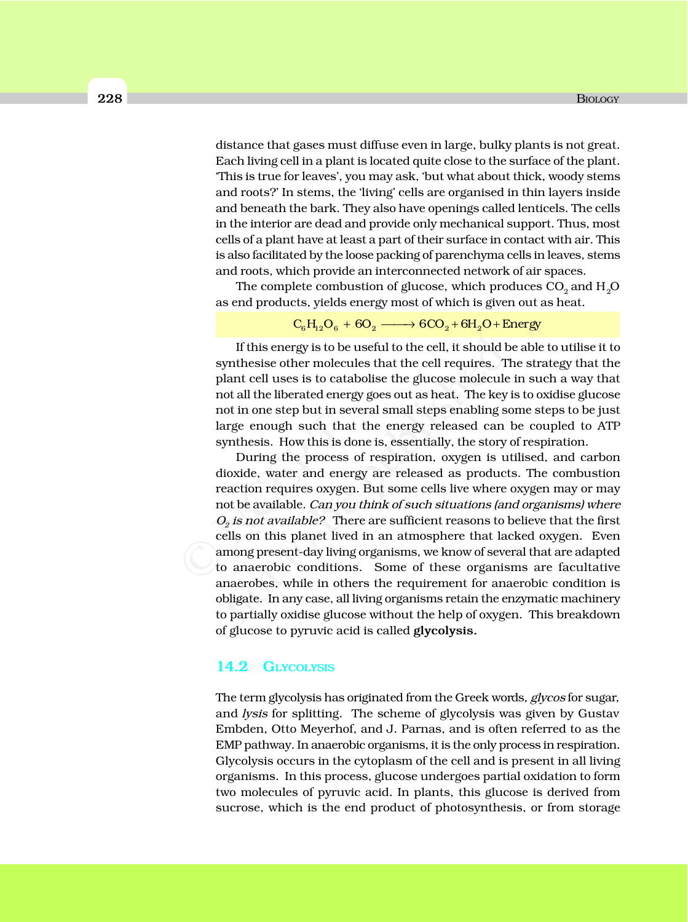distance that gases must diffuse even in large, bulky plants is not great. Each living cell in a plant is located quite close to the surface of the plant. 'This is true for leaves', you may ask, 'but what about thick, woody stems and roots?' In stems, the 'living' cells are organised in thin layers inside and beneath the bark. They also have openings called lenticels. The cells in the interior are dead and provide only mechanical support. Thus, most cells of a plant have at least a part of their surface in contact with air. This is also facilitated by the loose packing of parenchyma cells in leaves, stems and roots, which provide an interconnected network of air spaces.

The complete combustion of glucose, which produces CO $_2$  and H $_2$ O as end products, yields energy most of which is given out as heat.

## $C_6 H_1 O_6 + 6O_2 \longrightarrow 6CO_2 + 6H_2O +$  Energy

If this energy is to be useful to the cell, it should be able to utilise it to synthesise other molecules that the cell requires. The strategy that the plant cell uses is to catabolise the glucose molecule in such a way that not all the liberated energy goes out as heat. The key is to oxidise glucose not in one step but in several small steps enabling some steps to be just large enough such that the energy released can be coupled to ATP synthesis. How this is done is, essentially, the story of respiration.

During the process of respiration, oxygen is utilised, and carbon dioxide, water and energy are released as products. The combustion reaction requires oxygen. But some cells live where oxygen may or may not be available. *Can you think of such situations (and organisms) where*  $O_{2}$  *is not available?* There are sufficient reasons to believe that the first cells on this planet lived in an atmosphere that lacked oxygen. Even among present-day living organisms, we know of several that are adapted to anaerobic conditions. Some of these organisms are facultative anaerobes, while in others the requirement for anaerobic condition is obligate. In any case, all living organisms retain the enzymatic machinery to partially oxidise glucose without the help of oxygen. This breakdown of glucose to pyruvic acid is called **glycolysis.** From the step but in several argue enough such that the synthesis. How this is done<br>During the process of dioxide, water and energy<br>reaction requires oxygen. E<br>not be available. Can you the  $O_2$  is not available? There<br>c If this energy is to be useful to the cell, it should know the sisted of the cell requires. Then the cell uses is to catabolise the glucose molecule of all the liberated energy goes out as heat. The key ot in one step but

## **14.2 GLYCOLYSIS**

The term glycolysis has originated from the Greek words, *glycos* for sugar, and *lysis* for splitting. The scheme of glycolysis was given by Gustav Embden, Otto Meyerhof, and J. Parnas, and is often referred to as the EMP pathway. In anaerobic organisms, it is the only process in respiration. Glycolysis occurs in the cytoplasm of the cell and is present in all living organisms. In this process, glucose undergoes partial oxidation to form two molecules of pyruvic acid. In plants, this glucose is derived from sucrose, which is the end product of photosynthesis, or from storage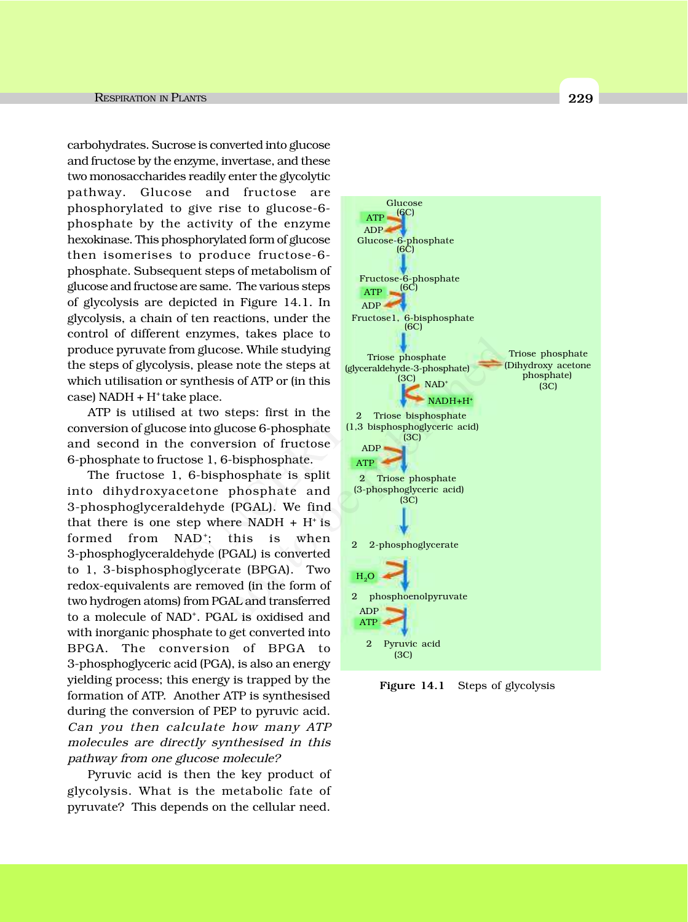carbohydrates. Sucrose is converted into glucose and fructose by the enzyme, invertase, and these two monosaccharides readily enter the glycolytic pathway. Glucose and fructose are phosphorylated to give rise to glucose-6 phosphate by the activity of the enzyme hexokinase. This phosphorylated form of glucose then isomerises to produce fructose-6 phosphate. Subsequent steps of metabolism of glucose and fructose are same. The various steps of glycolysis are depicted in Figure 14.1. In glycolysis, a chain of ten reactions, under the control of different enzymes, takes place to produce pyruvate from glucose. While studying the steps of glycolysis, please note the steps at which utilisation or synthesis of ATP or (in this  $case)$  NADH + H<sup>+</sup>take place.

ATP is utilised at two steps: first in the conversion of glucose into glucose 6-phosphate and second in the conversion of fructose 6-phosphate to fructose 1, 6-bisphosphate.

The fructose 1, 6-bisphosphate is split into dihydroxyacetone phosphate and 3-phosphoglyceraldehyde (PGAL). We find that there is one step where  $NADH + H^*$  is formed from NAD<sup>+</sup>; this is when 3-phosphoglyceraldehyde (PGAL) is converted to 1, 3-bisphosphoglycerate (BPGA). Two redox-equivalents are removed (in the form of two hydrogen atoms) from PGAL and transferred to a molecule of NAD<sup>+</sup> . PGAL is oxidised and with inorganic phosphate to get converted into BPGA. The conversion of BPGA to 3-phosphoglyceric acid (PGA), is also an energy yielding process; this energy is trapped by the formation of ATP. Another ATP is synthesised during the conversion of PEP to pyruvic acid. *Can you then calculate how many ATP molecules are directly synthesised in this pathway from one glucose molecule?* at two steps: first in the<br>
se into glucose 6-phosphate<br>
e conversion of fructose<br>
ctose 1, 6-bisphosphate. AT<br>
cetone phosphate is split<br>
cetone phosphate and<br>
dehyde (PGAL). We find<br>
step where NADH + H<sup>+</sup> is<br>
NAD<sup>+</sup>; th

Pyruvic acid is then the key product of glycolysis. What is the metabolic fate of pyruvate? This depends on the cellular need.



**Figure 14.1** Steps of glycolysis